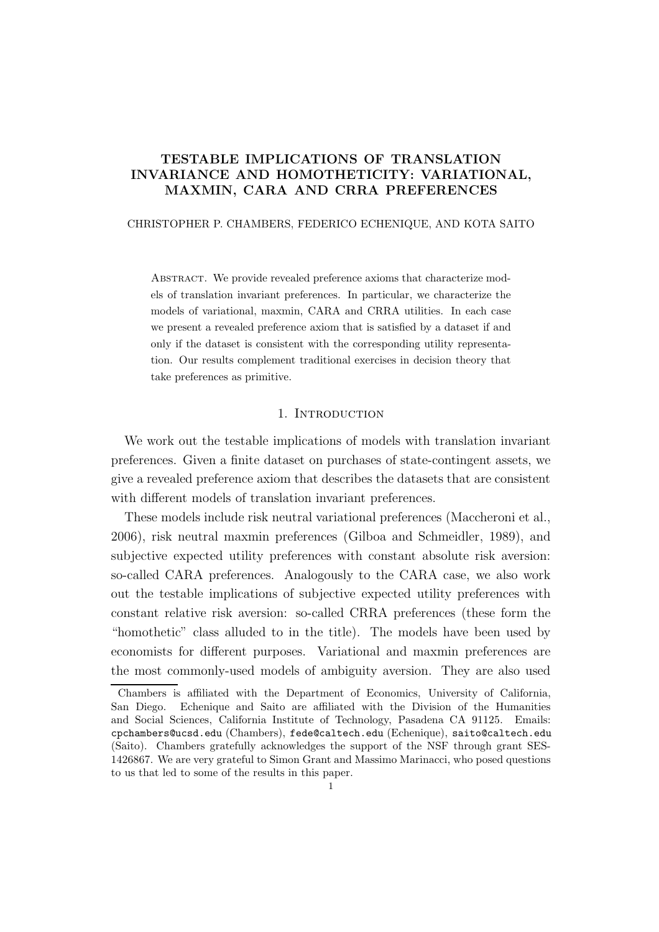# TESTABLE IMPLICATIONS OF TRANSLATION INVARIANCE AND HOMOTHETICITY: VARIATIONAL, MAXMIN, CARA AND CRRA PREFERENCES

## CHRISTOPHER P. CHAMBERS, FEDERICO ECHENIQUE, AND KOTA SAITO

ABSTRACT. We provide revealed preference axioms that characterize models of translation invariant preferences. In particular, we characterize the models of variational, maxmin, CARA and CRRA utilities. In each case we present a revealed preference axiom that is satisfied by a dataset if and only if the dataset is consistent with the corresponding utility representation. Our results complement traditional exercises in decision theory that take preferences as primitive.

## 1. Introduction

We work out the testable implications of models with translation invariant preferences. Given a finite dataset on purchases of state-contingent assets, we give a revealed preference axiom that describes the datasets that are consistent with different models of translation invariant preferences.

These models include risk neutral variational preferences (Maccheroni et al., 2006), risk neutral maxmin preferences (Gilboa and Schmeidler, 1989), and subjective expected utility preferences with constant absolute risk aversion: so-called CARA preferences. Analogously to the CARA case, we also work out the testable implications of subjective expected utility preferences with constant relative risk aversion: so-called CRRA preferences (these form the "homothetic" class alluded to in the title). The models have been used by economists for different purposes. Variational and maxmin preferences are the most commonly-used models of ambiguity aversion. They are also used

Chambers is affiliated with the Department of Economics, University of California, San Diego. Echenique and Saito are affiliated with the Division of the Humanities and Social Sciences, California Institute of Technology, Pasadena CA 91125. Emails: cpchambers@ucsd.edu (Chambers), fede@caltech.edu (Echenique), saito@caltech.edu (Saito). Chambers gratefully acknowledges the support of the NSF through grant SES-1426867. We are very grateful to Simon Grant and Massimo Marinacci, who posed questions to us that led to some of the results in this paper.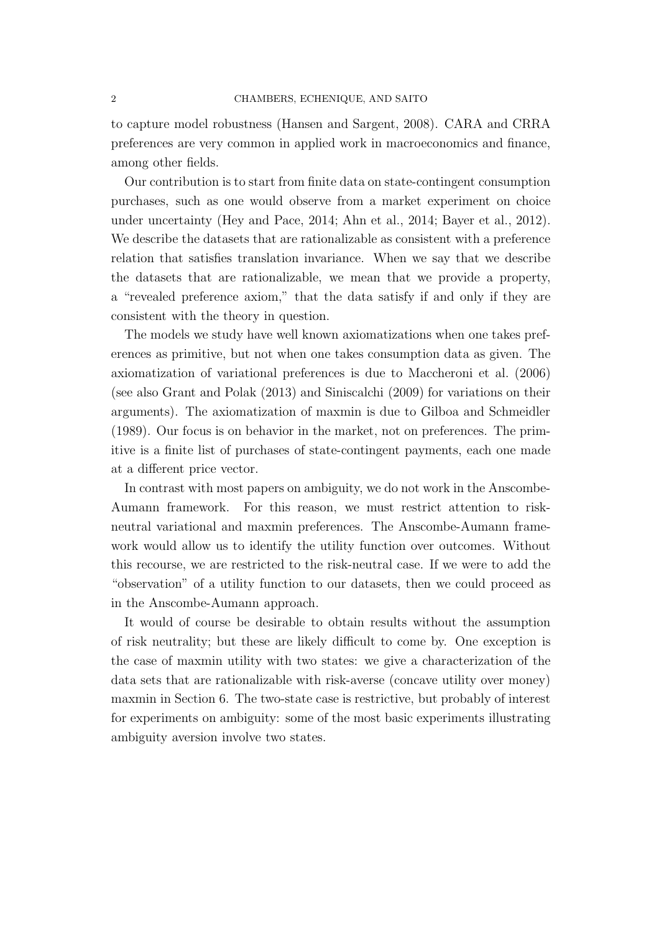to capture model robustness (Hansen and Sargent, 2008). CARA and CRRA preferences are very common in applied work in macroeconomics and finance, among other fields.

Our contribution is to start from finite data on state-contingent consumption purchases, such as one would observe from a market experiment on choice under uncertainty (Hey and Pace, 2014; Ahn et al., 2014; Bayer et al., 2012). We describe the datasets that are rationalizable as consistent with a preference relation that satisfies translation invariance. When we say that we describe the datasets that are rationalizable, we mean that we provide a property, a "revealed preference axiom," that the data satisfy if and only if they are consistent with the theory in question.

The models we study have well known axiomatizations when one takes preferences as primitive, but not when one takes consumption data as given. The axiomatization of variational preferences is due to Maccheroni et al. (2006) (see also Grant and Polak (2013) and Siniscalchi (2009) for variations on their arguments). The axiomatization of maxmin is due to Gilboa and Schmeidler (1989). Our focus is on behavior in the market, not on preferences. The primitive is a finite list of purchases of state-contingent payments, each one made at a different price vector.

In contrast with most papers on ambiguity, we do not work in the Anscombe-Aumann framework. For this reason, we must restrict attention to riskneutral variational and maxmin preferences. The Anscombe-Aumann framework would allow us to identify the utility function over outcomes. Without this recourse, we are restricted to the risk-neutral case. If we were to add the "observation" of a utility function to our datasets, then we could proceed as in the Anscombe-Aumann approach.

It would of course be desirable to obtain results without the assumption of risk neutrality; but these are likely difficult to come by. One exception is the case of maxmin utility with two states: we give a characterization of the data sets that are rationalizable with risk-averse (concave utility over money) maxmin in Section 6. The two-state case is restrictive, but probably of interest for experiments on ambiguity: some of the most basic experiments illustrating ambiguity aversion involve two states.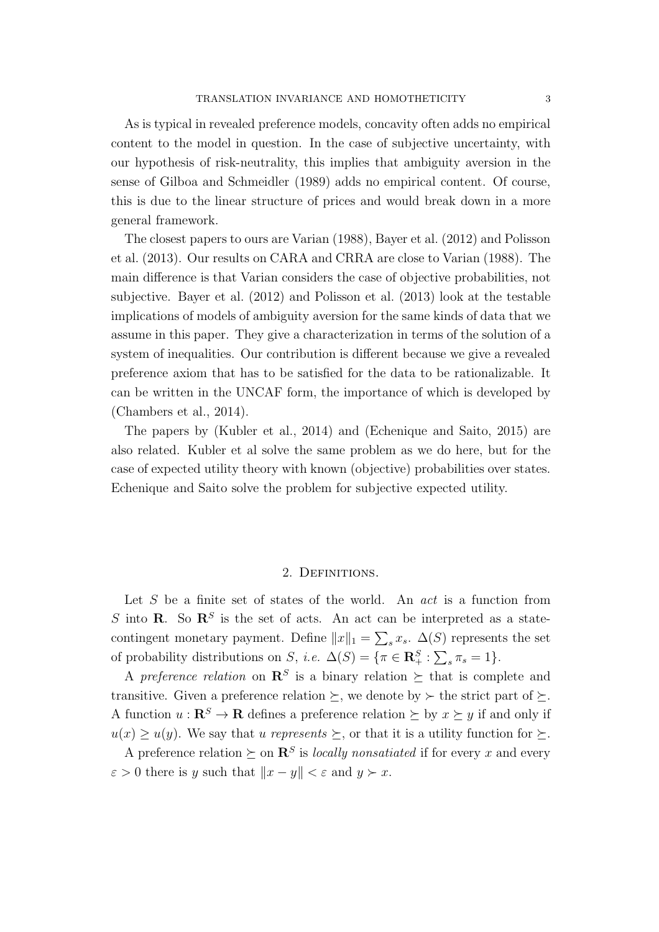As is typical in revealed preference models, concavity often adds no empirical content to the model in question. In the case of subjective uncertainty, with our hypothesis of risk-neutrality, this implies that ambiguity aversion in the sense of Gilboa and Schmeidler (1989) adds no empirical content. Of course, this is due to the linear structure of prices and would break down in a more general framework.

The closest papers to ours are Varian (1988), Bayer et al. (2012) and Polisson et al. (2013). Our results on CARA and CRRA are close to Varian (1988). The main difference is that Varian considers the case of objective probabilities, not subjective. Bayer et al. (2012) and Polisson et al. (2013) look at the testable implications of models of ambiguity aversion for the same kinds of data that we assume in this paper. They give a characterization in terms of the solution of a system of inequalities. Our contribution is different because we give a revealed preference axiom that has to be satisfied for the data to be rationalizable. It can be written in the UNCAF form, the importance of which is developed by (Chambers et al., 2014).

The papers by (Kubler et al., 2014) and (Echenique and Saito, 2015) are also related. Kubler et al solve the same problem as we do here, but for the case of expected utility theory with known (objective) probabilities over states. Echenique and Saito solve the problem for subjective expected utility.

#### 2. Definitions.

Let S be a finite set of states of the world. An *act* is a function from S into **R**. So  $\mathbb{R}^S$  is the set of acts. An act can be interpreted as a statecontingent monetary payment. Define  $||x||_1 = \sum_s x_s$ .  $\Delta(S)$  represents the set of probability distributions on S, *i.e.*  $\Delta(S) = \{ \pi \in \mathbb{R}_+^S : \sum_s \pi_s = 1 \}.$ 

A *preference relation* on  $\mathbb{R}^S$  is a binary relation  $\succeq$  that is complete and transitive. Given a preference relation  $\succeq$ , we denote by  $\succeq$  the strict part of  $\succeq$ . A function  $u : \mathbb{R}^S \to \mathbb{R}$  defines a preference relation  $\succeq$  by  $x \succeq y$  if and only if  $u(x) \geq u(y)$ . We say that u *represents*  $\succeq$ , or that it is a utility function for  $\succeq$ .

A preference relation  $\succeq$  on  $\mathbb{R}^S$  is *locally nonsatiated* if for every x and every  $\varepsilon > 0$  there is y such that  $||x - y|| < \varepsilon$  and  $y \succ x$ .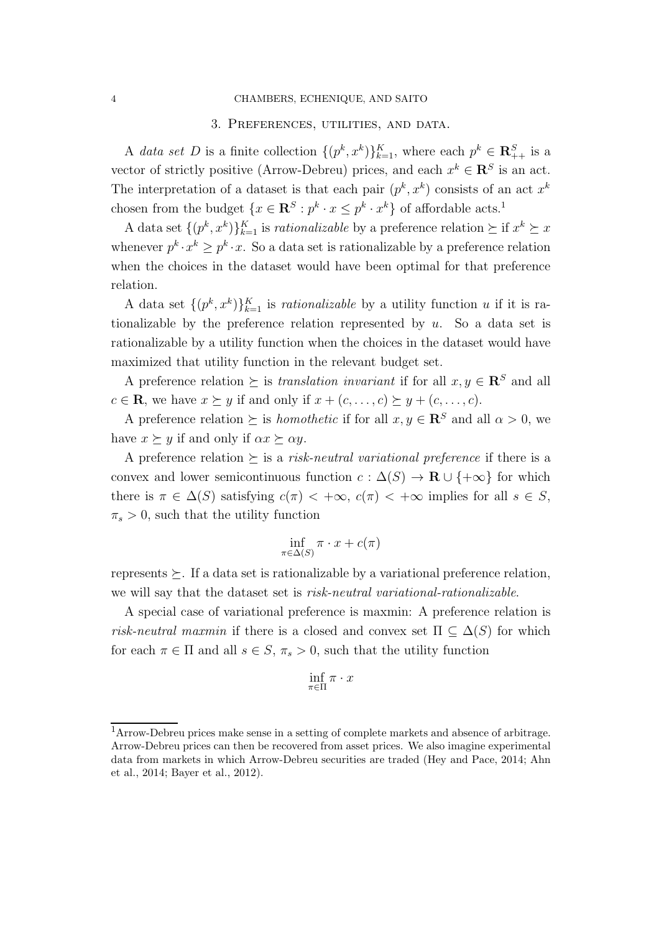#### 4 CHAMBERS, ECHENIQUE, AND SAITO

#### 3. Preferences, utilities, and data.

A *data set* D is a finite collection  $\{(p^k, x^k)\}_{k=1}^K$ , where each  $p^k \in \mathbb{R}^S_{++}$  is a vector of strictly positive (Arrow-Debreu) prices, and each  $x^k \in \mathbb{R}^S$  is an act. The interpretation of a dataset is that each pair  $(p^k, x^k)$  consists of an act  $x^k$ chosen from the budget  $\{x \in \mathbb{R}^S : p^k \cdot x \leq p^k \cdot x^k\}$  of affordable acts.<sup>1</sup>

A data set  $\{(p^k, x^k)\}_{k=1}^K$  is *rationalizable* by a preference relation  $\succeq$  if  $x^k \succeq x$ whenever  $p^k \cdot x^k \geq p^k \cdot x$ . So a data set is rationalizable by a preference relation when the choices in the dataset would have been optimal for that preference relation.

A data set  $\{(p^k, x^k)\}_{k=1}^K$  is *rationalizable* by a utility function u if it is rationalizable by the preference relation represented by  $u$ . So a data set is rationalizable by a utility function when the choices in the dataset would have maximized that utility function in the relevant budget set.

A preference relation  $\succ$  is *translation invariant* if for all  $x, y \in \mathbb{R}^S$  and all  $c \in \mathbf{R}$ , we have  $x \succeq y$  if and only if  $x + (c, \ldots, c) \succeq y + (c, \ldots, c)$ .

A preference relation  $\succeq$  is *homothetic* if for all  $x, y \in \mathbb{R}^S$  and all  $\alpha > 0$ , we have  $x \succeq y$  if and only if  $\alpha x \succeq \alpha y$ .

A preference relation  $\succeq$  is a *risk-neutral variational preference* if there is a convex and lower semicontinuous function  $c : \Delta(S) \to \mathbf{R} \cup \{+\infty\}$  for which there is  $\pi \in \Delta(S)$  satisfying  $c(\pi) < +\infty$ ,  $c(\pi) < +\infty$  implies for all  $s \in S$ ,  $\pi_s > 0$ , such that the utility function

$$
\inf_{\pi \in \Delta(S)} \pi \cdot x + c(\pi)
$$

represents  $\succeq$ . If a data set is rationalizable by a variational preference relation, we will say that the dataset set is *risk-neutral variational-rationalizable*.

A special case of variational preference is maxmin: A preference relation is *risk-neutral maxmin* if there is a closed and convex set  $\Pi \subseteq \Delta(S)$  for which for each  $\pi \in \Pi$  and all  $s \in S$ ,  $\pi_s > 0$ , such that the utility function

$$
\inf_{\pi \in \Pi} \pi \cdot x
$$

<sup>1</sup>Arrow-Debreu prices make sense in a setting of complete markets and absence of arbitrage. Arrow-Debreu prices can then be recovered from asset prices. We also imagine experimental data from markets in which Arrow-Debreu securities are traded (Hey and Pace, 2014; Ahn et al., 2014; Bayer et al., 2012).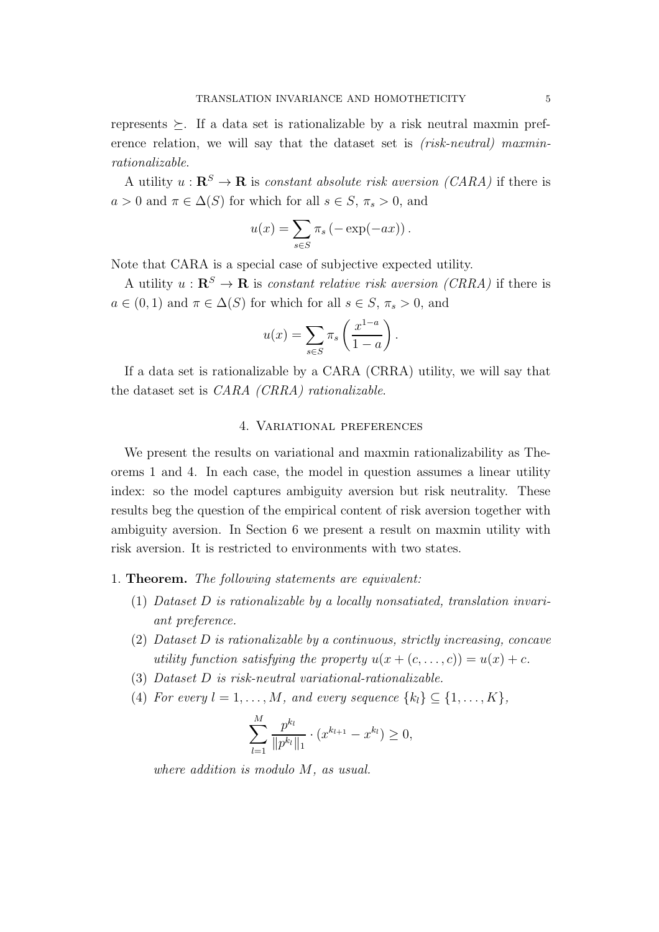represents  $\succeq$ . If a data set is rationalizable by a risk neutral maxmin preference relation, we will say that the dataset set is *(risk-neutral) maxminrationalizable*.

A utility  $u : \mathbf{R}^S \to \mathbf{R}$  is *constant absolute risk aversion (CARA)* if there is  $a > 0$  and  $\pi \in \Delta(S)$  for which for all  $s \in S$ ,  $\pi_s > 0$ , and

$$
u(x) = \sum_{s \in S} \pi_s (-\exp(-ax)).
$$

Note that CARA is a special case of subjective expected utility.

A utility  $u : \mathbf{R}^S \to \mathbf{R}$  is *constant relative risk aversion (CRRA)* if there is  $a \in (0,1)$  and  $\pi \in \Delta(S)$  for which for all  $s \in S$ ,  $\pi_s > 0$ , and

$$
u(x) = \sum_{s \in S} \pi_s \left( \frac{x^{1-a}}{1-a} \right).
$$

If a data set is rationalizable by a CARA (CRRA) utility, we will say that the dataset set is *CARA (CRRA) rationalizable*.

### 4. Variational preferences

We present the results on variational and maxmin rationalizability as Theorems 1 and 4. In each case, the model in question assumes a linear utility index: so the model captures ambiguity aversion but risk neutrality. These results beg the question of the empirical content of risk aversion together with ambiguity aversion. In Section 6 we present a result on maxmin utility with risk aversion. It is restricted to environments with two states.

#### 1. Theorem. *The following statements are equivalent:*

- (1) *Dataset* D *is rationalizable by a locally nonsatiated, translation invariant preference.*
- (2) *Dataset* D *is rationalizable by a continuous, strictly increasing, concave utility function satisfying the property*  $u(x + (c, \ldots, c)) = u(x) + c$ .
- (3) *Dataset* D *is risk-neutral variational-rationalizable.*
- (4) For every  $l = 1, \ldots, M$ , and every sequence  $\{k_l\} \subseteq \{1, \ldots, K\}$ ,

$$
\sum_{l=1}^{M} \frac{p^{k_l}}{\|p^{k_l}\|_1} \cdot (x^{k_{l+1}} - x^{k_l}) \ge 0,
$$

*where addition is modulo* M*, as usual.*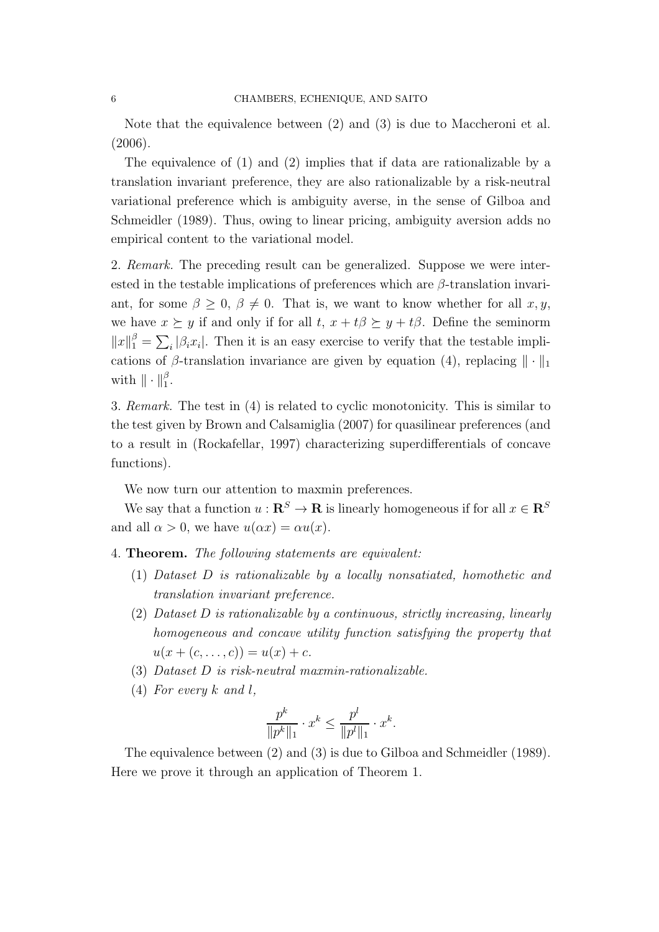Note that the equivalence between (2) and (3) is due to Maccheroni et al. (2006).

The equivalence of (1) and (2) implies that if data are rationalizable by a translation invariant preference, they are also rationalizable by a risk-neutral variational preference which is ambiguity averse, in the sense of Gilboa and Schmeidler (1989). Thus, owing to linear pricing, ambiguity aversion adds no empirical content to the variational model.

2. *Remark.* The preceding result can be generalized. Suppose we were interested in the testable implications of preferences which are  $\beta$ -translation invariant, for some  $\beta \geq 0$ ,  $\beta \neq 0$ . That is, we want to know whether for all  $x, y$ , we have  $x \succeq y$  if and only if for all  $t, x + t\beta \succeq y + t\beta$ . Define the seminorm  $||x||_1^{\beta} = \sum_i |\beta_i x_i|$ . Then it is an easy exercise to verify that the testable implications of  $\beta$ -translation invariance are given by equation (4), replacing  $\|\cdot\|_1$ with  $\|\cdot\|_1^{\beta}$ .

3. *Remark.* The test in (4) is related to cyclic monotonicity. This is similar to the test given by Brown and Calsamiglia (2007) for quasilinear preferences (and to a result in (Rockafellar, 1997) characterizing superdifferentials of concave functions).

We now turn our attention to maxmin preferences.

We say that a function  $u : \mathbf{R}^S \to \mathbf{R}$  is linearly homogeneous if for all  $x \in \mathbf{R}^S$ and all  $\alpha > 0$ , we have  $u(\alpha x) = \alpha u(x)$ .

4. Theorem. *The following statements are equivalent:*

- (1) *Dataset* D *is rationalizable by a locally nonsatiated, homothetic and translation invariant preference.*
- (2) *Dataset* D *is rationalizable by a continuous, strictly increasing, linearly homogeneous and concave utility function satisfying the property that*  $u(x + (c, \ldots, c)) = u(x) + c.$
- (3) *Dataset* D *is risk-neutral maxmin-rationalizable.*
- (4) *For every* k *and* l*,*

$$
\frac{p^k}{\|p^k\|_1} \cdot x^k \le \frac{p^l}{\|p^l\|_1} \cdot x^k.
$$

The equivalence between (2) and (3) is due to Gilboa and Schmeidler (1989). Here we prove it through an application of Theorem 1.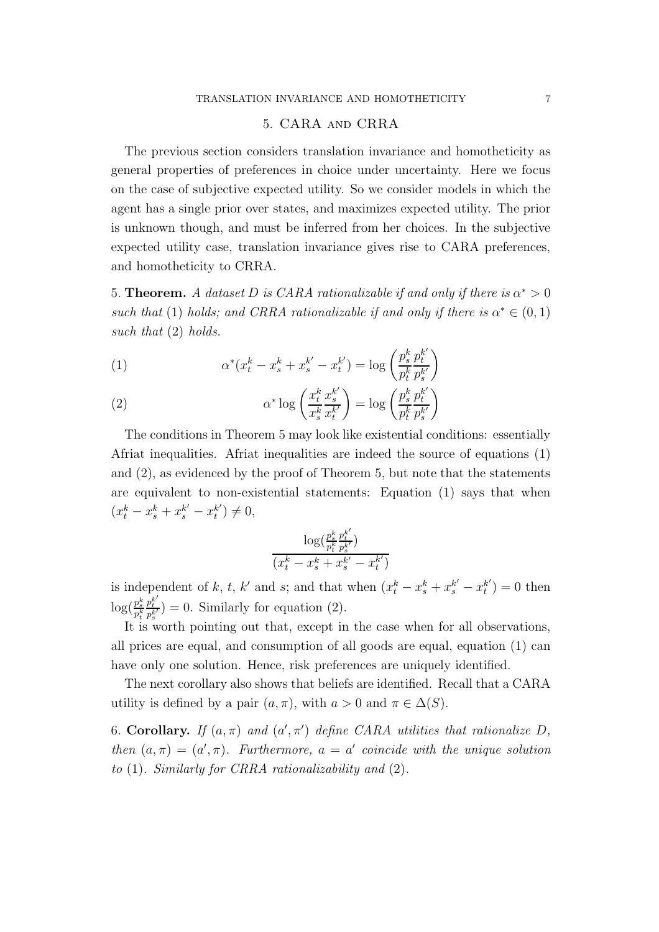## 5. CARA and CRRA

The previous section considers translation invariance and homotheticity as general properties of preferences in choice under uncertainty. Here we focus on the case of subjective expected utility. So we consider models in which the agent has a single prior over states, and maximizes expected utility. The prior is unknown though, and must be inferred from her choices. In the subjective expected utility case, translation invariance gives rise to CARA preferences, and homotheticity to CRRA.

5. **Theorem.** *A dataset D is CARA rationalizable if and only if there is*  $\alpha^* > 0$ such that (1) holds; and CRRA rationalizable if and only if there is  $\alpha^* \in (0,1)$ *such that* (2) *holds.*

(1) 
$$
\alpha^*(x_t^k - x_s^k + x_s^{k'} - x_t^{k'}) = \log \left( \frac{p_s^k}{p_t^k} \frac{p_t^{k'}}{p_s^{k'}} \right)
$$

(2) 
$$
\alpha^* \log \left( \frac{x_t^k}{x_s^k} \frac{x_s^{k'}}{x_t^k} \right) = \log \left( \frac{p_s^k}{p_t^k} \frac{p_t^{k'}}{p_s^{k'}} \right)
$$

The conditions in Theorem 5 may look like existential conditions: essentially Afriat inequalities. Afriat inequalities are indeed the source of equations (1) and (2), as evidenced by the proof of Theorem 5, but note that the statements are equivalent to non-existential statements: Equation (1) says that when  $(x_t^k - x_s^k + x_s^{k'} - x_t^{k'}$  $t^{(k')}_t \neq 0,$ 

$$
\frac{\log(\frac{p_s^k}{p_t^k}\frac{p_t^{k'}}{p_s^{k'}})}{(x_t^k - x_s^k + x_s^{k'} - x_t^{k'})}
$$

is independent of k, t, k' and s; and that when  $(x_t^k - x_s^k + x_s^{k'} - x_t^{k'}$  $t^{(k')}_t = 0$  then  $\log(\frac{p_s^k}{p_t^k}$  $\int_{k}^{1} e^{kt}$  $\frac{p_t^{k}}{p_s^{k'}}$ ) = 0. Similarly for equation (2).

It is worth pointing out that, except in the case when for all observations, all prices are equal, and consumption of all goods are equal, equation (1) can have only one solution. Hence, risk preferences are uniquely identified.

The next corollary also shows that beliefs are identified. Recall that a CARA utility is defined by a pair  $(a, \pi)$ , with  $a > 0$  and  $\pi \in \Delta(S)$ .

6. Corollary. *If*  $(a, \pi)$  *and*  $(a', \pi')$  *define CARA utilities that rationalize D*, *then*  $(a, \pi) = (a', \pi)$ *. Furthermore,*  $a = a'$  *coincide with the unique solution to* (1)*. Similarly for CRRA rationalizability and* (2)*.*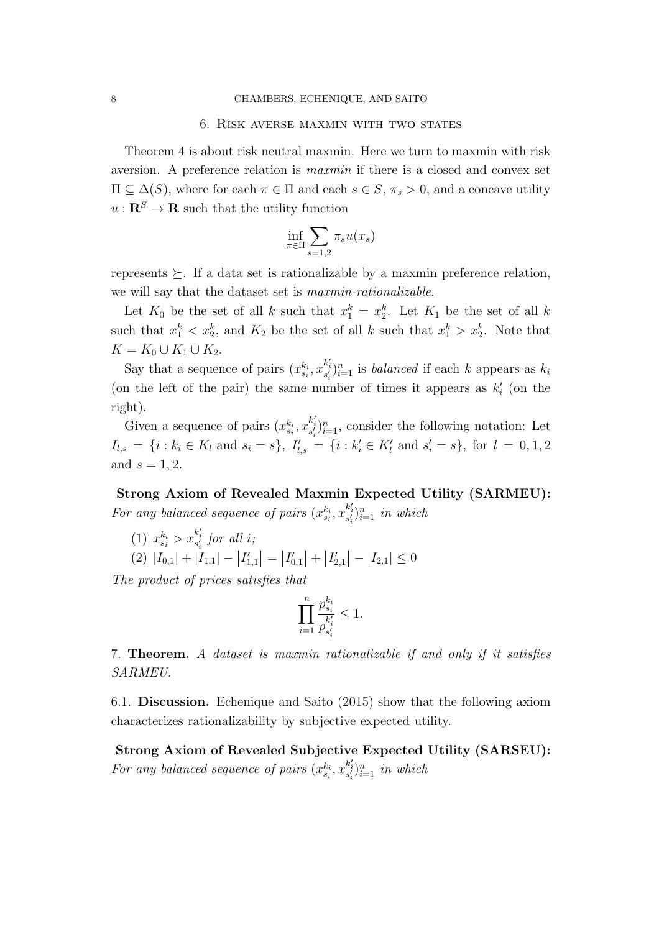#### 6. Risk averse maxmin with two states

Theorem 4 is about risk neutral maxmin. Here we turn to maxmin with risk aversion. A preference relation is *maxmin* if there is a closed and convex set  $\Pi \subseteq \Delta(S)$ , where for each  $\pi \in \Pi$  and each  $s \in S$ ,  $\pi_s > 0$ , and a concave utility  $u:\mathbf{R}^S\rightarrow \mathbf{R}$  such that the utility function

$$
\inf_{\pi \in \Pi} \sum_{s=1,2} \pi_s u(x_s)
$$

represents  $\geq$ . If a data set is rationalizable by a maxmin preference relation, we will say that the dataset set is *maxmin-rationalizable*.

Let  $K_0$  be the set of all k such that  $x_1^k = x_2^k$ . Let  $K_1$  be the set of all k such that  $x_1^k < x_2^k$ , and  $K_2$  be the set of all k such that  $x_1^k > x_2^k$ . Note that  $K = K_0 \cup K_1 \cup K_2$ .

Say that a sequence of pairs  $(x_{s_i}^{k_i}, x_{s'_i}^{k'_i})_{i=1}^n$  is *balanced* if each k appears as  $k_i$ (on the left of the pair) the same number of times it appears as  $k_i'$  (on the right).

Given a sequence of pairs  $(x_{s_i}^{k_i}, x_{s'_i}^{k'_i})_{i=1}^n$ , consider the following notation: Let  $I_{l,s} = \{i : k_i \in K_l \text{ and } s_i = s\}, I'_{l,s} = \{i : k'_i \in K'_l \text{ and } s'_i = s\}, \text{ for } l = 0, 1, 2$ and  $s = 1, 2$ .

Strong Axiom of Revealed Maxmin Expected Utility (SARMEU): For any balanced sequence of pairs  $(x_{s_i}^{k_i}, x_{s'_i}^{k'_i})_{i=1}^n$  in which

(1) 
$$
x_{s_i}^{k_i} > x_{s_i'}^{k_i'}
$$
 for all i;  
(2)  $|I_{0,1}| + |I_{1,1}| - |I_{1,1}'| = |I_{0,1}'| + |I_{2,1}'| - |I_{2,1}| \le 0$ 

*The product of prices satisfies that*

$$
\prod_{i=1}^n \frac{p_{s_i}^{k_i}}{p_{s_i'}^{k_i'}} \leq 1.
$$

7. Theorem. *A dataset is maxmin rationalizable if and only if it satisfies SARMEU.*

6.1. Discussion. Echenique and Saito (2015) show that the following axiom characterizes rationalizability by subjective expected utility.

Strong Axiom of Revealed Subjective Expected Utility (SARSEU): For any balanced sequence of pairs  $(x_{s_i}^{k_i}, x_{s'_i}^{k'_i})_{i=1}^n$  in which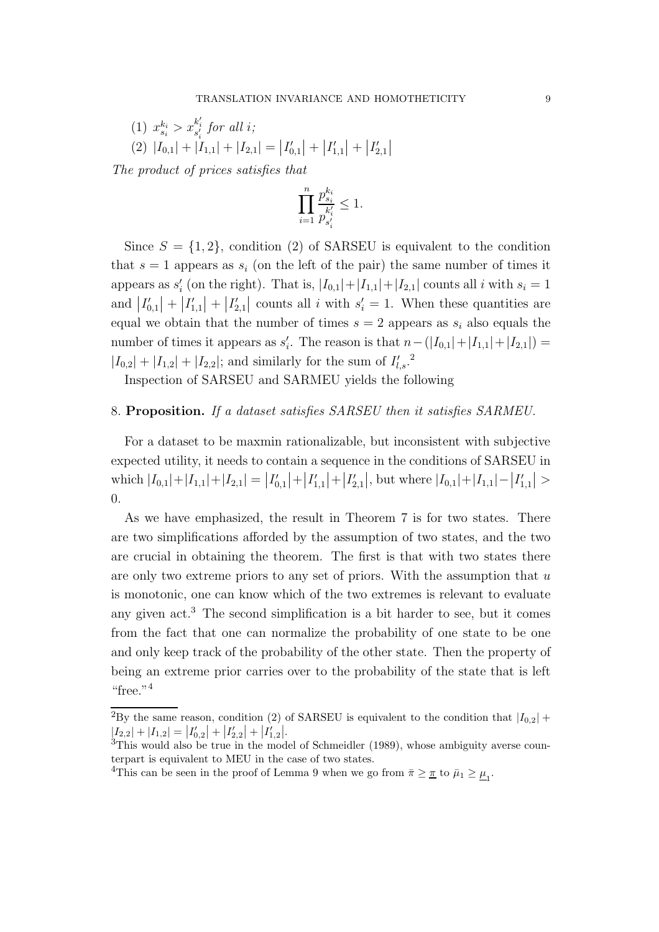(1) 
$$
x_{s_i}^{k_i} > x_{s_i'}^{k_i'}
$$
 for all i;  
\n(2)  $|I_{0,1}| + |I_{1,1}| + |I_{2,1}| = |I'_{0,1}| + |I'_{1,1}| + |I'_{2,1}|$ 

*The product of prices satisfies that*

$$
\prod_{i=1}^n \frac{p_{s_i}^{k_i}}{p_{s_i^{\prime}}^{k^{\prime}}}\leq 1.
$$

Since  $S = \{1, 2\}$ , condition (2) of SARSEU is equivalent to the condition that  $s = 1$  appears as  $s_i$  (on the left of the pair) the same number of times it appears as  $s'_{i}$  (on the right). That is,  $|I_{0,1}|+|I_{1,1}|+|I_{2,1}|$  counts all i with  $s_{i}=1$ and  $|I'_{0,1}| + |I'_{1,1}| + |I'_{2,1}|$  counts all i with  $s'_i = 1$ . When these quantities are equal we obtain that the number of times  $s = 2$  appears as  $s_i$  also equals the number of times it appears as  $s_i'$ . The reason is that  $n - (|I_{0,1}| + |I_{1,1}| + |I_{2,1}|) =$  $|I_{0,2}| + |I_{1,2}| + |I_{2,2}|$ ; and similarly for the sum of  $I'_{l,s}$ .<sup>2</sup>

Inspection of SARSEU and SARMEU yields the following

## 8. Proposition. *If a dataset satisfies SARSEU then it satisfies SARMEU.*

For a dataset to be maxmin rationalizable, but inconsistent with subjective expected utility, it needs to contain a sequence in the conditions of SARSEU in which  $|I_{0,1}|+|I_{1,1}|+|I_{2,1}| = |I'_{0,1}|+|I'_{1,1}|+|I'_{2,1}|$ , but where  $|I_{0,1}|+|I_{1,1}|-|I'_{1,1}| >$ 0.

As we have emphasized, the result in Theorem 7 is for two states. There are two simplifications afforded by the assumption of two states, and the two are crucial in obtaining the theorem. The first is that with two states there are only two extreme priors to any set of priors. With the assumption that  $u$ is monotonic, one can know which of the two extremes is relevant to evaluate any given act.<sup>3</sup> The second simplification is a bit harder to see, but it comes from the fact that one can normalize the probability of one state to be one and only keep track of the probability of the other state. Then the property of being an extreme prior carries over to the probability of the state that is left "free."<sup>4</sup>

<sup>&</sup>lt;sup>2</sup>By the same reason, condition (2) of SARSEU is equivalent to the condition that  $|I_{0,2}|$  +  $|I_{2,2}| + |I_{1,2}| = |I'_{0,2}| + |I'_{2,2}| + |I'_{1,2}|$ 

<sup>&</sup>lt;sup>3</sup>This would also be true in the model of Schmeidler (1989), whose ambiguity averse counterpart is equivalent to MEU in the case of two states.

<sup>&</sup>lt;sup>4</sup>This can be seen in the proof of Lemma 9 when we go from  $\bar{\pi} \geq \underline{\pi}$  to  $\bar{\mu}_1 \geq \underline{\mu}_1$ .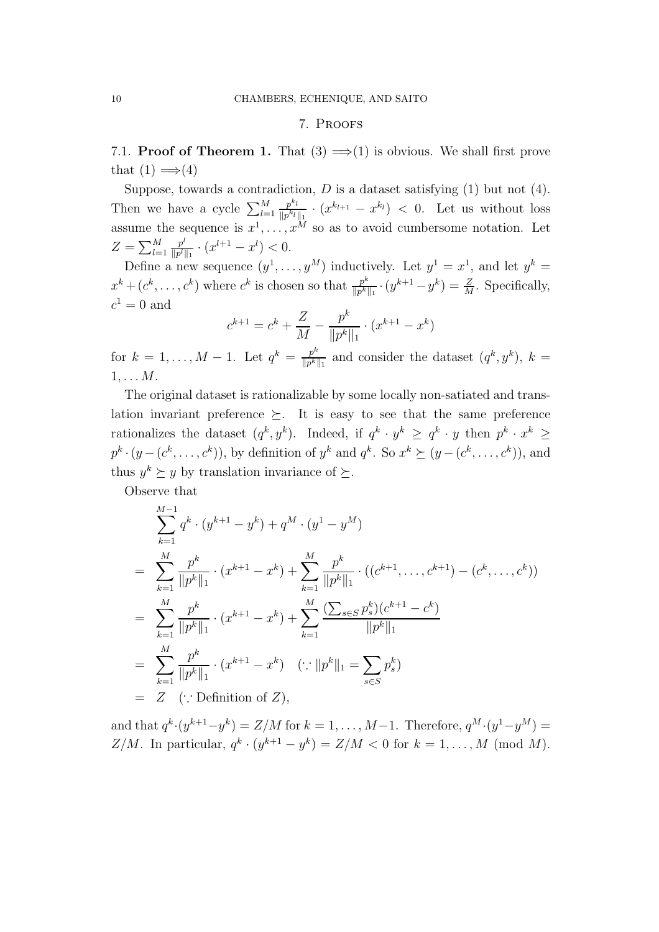## 7. Proofs

7.1. **Proof of Theorem 1.** That  $(3) \implies (1)$  is obvious. We shall first prove that  $(1) \implies (4)$ 

Suppose, towards a contradiction,  $D$  is a dataset satisfying  $(1)$  but not  $(4)$ . Then we have a cycle  $\sum_{l=1}^{M}$  $p^{k}$ l  $\frac{p^{k_l}}{\|p^{k_l}\|_1} \cdot (x^{k_{l+1}} - x^{k_l}) < 0$ . Let us without loss assume the sequence is  $x^1, \ldots, x^M$  so as to avoid cumbersome notation. Let  $Z=\sum_{l=1}^M$  $p^l$  $\frac{p^l}{\|p^l\|_1} \cdot (x^{l+1} - x^l) < 0.$ 

Define a new sequence  $(y^1, \ldots, y^M)$  inductively. Let  $y^1 = x^1$ , and let  $y^k =$  $x^k + (c^k, \ldots, c^k)$  where  $c^k$  is chosen so that  $\frac{p^k}{\|p\|k}$  $\frac{p^k}{\|p^k\|_1} \cdot (y^{k+1} - y^k) = \frac{Z}{M}$ . Specifically,  $c^1 = 0$  and

$$
c^{k+1} = c^k + \frac{Z}{M} - \frac{p^k}{\|p^k\|_1} \cdot (x^{k+1} - x^k)
$$

for  $k = 1, ..., M - 1$ . Let  $q^k = \frac{p^k}{\|p^k\|}$  $\frac{p^k}{\|p^k\|_1}$  and consider the dataset  $(q^k, y^k)$ ,  $k =$  $1, \ldots M$ .

The original dataset is rationalizable by some locally non-satiated and translation invariant preference  $\succeq$ . It is easy to see that the same preference rationalizes the dataset  $(q^k, y^k)$ . Indeed, if  $q^k \cdot y^k \ge q^k \cdot y$  then  $p^k \cdot x^k \ge$  $p^k \cdot (y - (c^k, \ldots, c^k))$ , by definition of  $y^k$  and  $q^k$ . So  $x^k \succeq (y - (c^k, \ldots, c^k))$ , and thus  $y^k \succeq y$  by translation invariance of  $\succeq$ .

Observe that

$$
\sum_{k=1}^{M-1} q^k \cdot (y^{k+1} - y^k) + q^M \cdot (y^1 - y^M)
$$
\n
$$
= \sum_{k=1}^{M} \frac{p^k}{\|p^k\|_1} \cdot (x^{k+1} - x^k) + \sum_{k=1}^{M} \frac{p^k}{\|p^k\|_1} \cdot ((c^{k+1}, \dots, c^{k+1}) - (c^k, \dots, c^k))
$$
\n
$$
= \sum_{k=1}^{M} \frac{p^k}{\|p^k\|_1} \cdot (x^{k+1} - x^k) + \sum_{k=1}^{M} \frac{(\sum_{s \in S} p_s^k)(c^{k+1} - c^k)}{\|p^k\|_1}
$$
\n
$$
= \sum_{k=1}^{M} \frac{p^k}{\|p^k\|_1} \cdot (x^{k+1} - x^k) \quad (\because \|p^k\|_1 = \sum_{s \in S} p_s^k)
$$
\n
$$
= Z \quad (\because \text{Definition of } Z),
$$

and that  $q^k \cdot (y^{k+1} - y^k) = Z/M$  for  $k = 1, ..., M-1$ . Therefore,  $q^M \cdot (y^1 - y^M) =$ Z/M. In particular,  $q^k \cdot (y^{k+1} - y^k) = Z/M < 0$  for  $k = 1, ..., M \pmod{M}$ .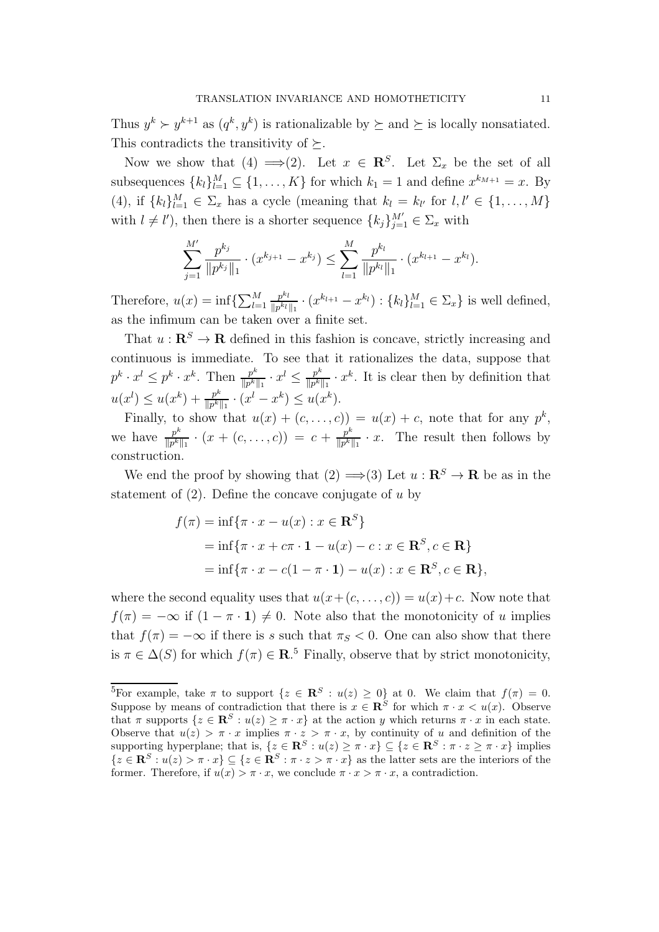Thus  $y^k \succ y^{k+1}$  as  $(q^k, y^k)$  is rationalizable by  $\succeq$  and  $\succeq$  is locally nonsatiated. This contradicts the transitivity of  $\succeq$ .

Now we show that (4)  $\Longrightarrow$  (2). Let  $x \in \mathbb{R}^S$ . Let  $\Sigma_x$  be the set of all subsequences  $\{k_l\}_{l=1}^M \subseteq \{1, \ldots, K\}$  for which  $k_1 = 1$  and define  $x^{k_{M+1}} = x$ . By (4), if  ${k_l}_{l=1}^M \in \Sigma_x$  has a cycle (meaning that  $k_l = k_{l'}$  for  $l, l' \in \{1, ..., M\}$ with  $l \neq l'$ , then there is a shorter sequence  ${k_j}_{j=1}^{M'} \in \Sigma_x$  with

$$
\sum_{j=1}^{M'} \frac{p^{k_j}}{\|p^{k_j}\|_1} \cdot (x^{k_{j+1}} - x^{k_j}) \le \sum_{l=1}^{M} \frac{p^{k_l}}{\|p^{k_l}\|_1} \cdot (x^{k_{l+1}} - x^{k_l}).
$$

Therefore,  $u(x) = \inf\{\sum_{l=1}^{M}$  $p^{k}$ l  $\frac{p^{k_l}}{\|p^{k_l}\|_1} \cdot (x^{k_{l+1}} - x^{k_l}) : \{k_l\}_{l=1}^M \in \Sigma_x\}$  is well defined, as the infimum can be taken over a finite set.

That  $u : \mathbb{R}^S \to \mathbb{R}$  defined in this fashion is concave, strictly increasing and continuous is immediate. To see that it rationalizes the data, suppose that  $p^k \cdot x^l \leq p^k \cdot x^k$ . Then  $\frac{p^k}{\|p^k\|}$  $\frac{p^k}{\|p^k\|_1} \cdot x^l \leq \frac{p^k}{\|p^k\|}$  $\frac{p^k}{\|p^k\|_1} \cdot x^k$ . It is clear then by definition that  $u(x^{l}) \leq u(x^{k}) + \frac{p^{k}}{\ln k}$  $\frac{p^k}{\|p^k\|_1} \cdot (x^l - x^k) \leq u(x^k).$ 

Finally, to show that  $u(x) + (c, \ldots, c) = u(x) + c$ , note that for any  $p^k$ , we have  $\frac{p^k}{\|p^k\|}$  $\frac{p^k}{\|p^k\|_1} \cdot (x + (c, \ldots, c)) = c + \frac{p^k}{\|p^k\|_1}$  $\frac{p^k}{\|p^k\|_1} \cdot x$ . The result then follows by construction.

We end the proof by showing that  $(2) \implies (3)$  Let  $u : \mathbb{R}^S \to \mathbb{R}$  be as in the statement of  $(2)$ . Define the concave conjugate of u by

$$
f(\pi) = \inf \{ \pi \cdot x - u(x) : x \in \mathbf{R}^{S} \}
$$
  
=  $\inf \{ \pi \cdot x + c\pi \cdot \mathbf{1} - u(x) - c : x \in \mathbf{R}^{S}, c \in \mathbf{R} \}$   
=  $\inf \{ \pi \cdot x - c(1 - \pi \cdot \mathbf{1}) - u(x) : x \in \mathbf{R}^{S}, c \in \mathbf{R} \},$ 

where the second equality uses that  $u(x+(c,\ldots,c)) = u(x)+c$ . Now note that  $f(\pi) = -\infty$  if  $(1 - \pi \cdot 1) \neq 0$ . Note also that the monotonicity of u implies that  $f(\pi) = -\infty$  if there is s such that  $\pi_S < 0$ . One can also show that there is  $\pi \in \Delta(S)$  for which  $f(\pi) \in \mathbf{R}^5$ . Finally, observe that by strict monotonicity,

<sup>&</sup>lt;sup>5</sup>For example, take  $\pi$  to support  $\{z \in \mathbb{R}^S : u(z) \geq 0\}$  at 0. We claim that  $f(\pi) = 0$ . Suppose by means of contradiction that there is  $x \in \mathbb{R}^S$  for which  $\pi \cdot x < u(x)$ . Observe that  $\pi$  supports  $\{z \in \mathbb{R}^S : u(z) \geq \pi \cdot x\}$  at the action y which returns  $\pi \cdot x$  in each state. Observe that  $u(z) > \pi \cdot x$  implies  $\pi \cdot z > \pi \cdot x$ , by continuity of u and definition of the supporting hyperplane; that is,  $\{z \in \mathbb{R}^S : u(z) \geq \pi \cdot x\} \subseteq \{z \in \mathbb{R}^S : \pi \cdot z \geq \pi \cdot x\}$  implies  ${z \in \mathbf{R}^S : u(z) > \pi \cdot x} \subseteq {z \in \mathbf{R}^S : \pi \cdot z > \pi \cdot x}$  as the latter sets are the interiors of the former. Therefore, if  $u(x) > \pi \cdot x$ , we conclude  $\pi \cdot x > \pi \cdot x$ , a contradiction.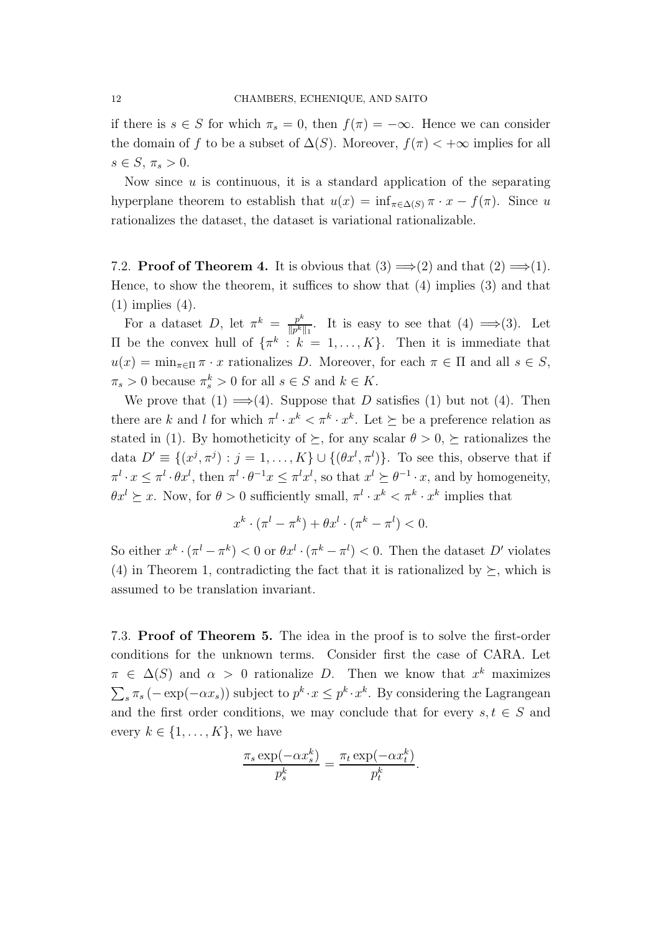if there is  $s \in S$  for which  $\pi_s = 0$ , then  $f(\pi) = -\infty$ . Hence we can consider the domain of f to be a subset of  $\Delta(S)$ . Moreover,  $f(\pi) < +\infty$  implies for all  $s \in S$ ,  $\pi_s > 0$ .

Now since  $u$  is continuous, it is a standard application of the separating hyperplane theorem to establish that  $u(x) = \inf_{\pi \in \Delta(S)} \pi \cdot x - f(\pi)$ . Since u rationalizes the dataset, the dataset is variational rationalizable.

7.2. **Proof of Theorem 4.** It is obvious that  $(3) \implies (2)$  and that  $(2) \implies (1)$ . Hence, to show the theorem, it suffices to show that (4) implies (3) and that (1) implies (4).

For a dataset D, let  $\pi^k = \frac{p^k}{\|p^k\|}$  $\frac{p^k}{\|p^k\|_1}$ . It is easy to see that  $(4) \implies (3)$ . Let II be the convex hull of  $\{\pi^k : k = 1, ..., K\}$ . Then it is immediate that  $u(x) = \min_{\pi \in \Pi} \pi \cdot x$  rationalizes D. Moreover, for each  $\pi \in \Pi$  and all  $s \in S$ ,  $\pi_s > 0$  because  $\pi_s^k > 0$  for all  $s \in S$  and  $k \in K$ .

We prove that  $(1) \implies (4)$ . Suppose that D satisfies  $(1)$  but not  $(4)$ . Then there are k and l for which  $\pi^l \cdot x^k < \pi^k \cdot x^k$ . Let  $\succeq$  be a preference relation as stated in (1). By homotheticity of  $\succeq$ , for any scalar  $\theta > 0$ ,  $\succeq$  rationalizes the data  $D' \equiv \{(x^j, \pi^j) : j = 1, \ldots, K\} \cup \{(\theta x^l, \pi^l)\}\.$  To see this, observe that if  $\pi^l \cdot x \leq \pi^l \cdot \theta x^l$ , then  $\pi^l \cdot \theta^{-1} x \leq \pi^l x^l$ , so that  $x^l \geq \theta^{-1} \cdot x$ , and by homogeneity,  $\theta x^{l} \geq x$ . Now, for  $\theta > 0$  sufficiently small,  $\pi^{l} \cdot x^{k} < \pi^{k} \cdot x^{k}$  implies that

$$
x^k \cdot (\pi^l - \pi^k) + \theta x^l \cdot (\pi^k - \pi^l) < 0.
$$

So either  $x^k \cdot (\pi^l - \pi^k) < 0$  or  $\theta x^l \cdot (\pi^k - \pi^l) < 0$ . Then the dataset D' violates (4) in Theorem 1, contradicting the fact that it is rationalized by  $\succeq$ , which is assumed to be translation invariant.

7.3. Proof of Theorem 5. The idea in the proof is to solve the first-order conditions for the unknown terms. Consider first the case of CARA. Let  $\pi \in \Delta(S)$  and  $\alpha > 0$  rationalize D. Then we know that  $x^k$  maximizes  $\sum_{s} \pi_s (-\exp(-\alpha x_s))$  subject to  $p^k \cdot x \leq p^k \cdot x^k$ . By considering the Lagrangean and the first order conditions, we may conclude that for every  $s, t \in S$  and every  $k \in \{1, \ldots, K\}$ , we have

$$
\frac{\pi_s \exp(-\alpha x_s^k)}{p_s^k} = \frac{\pi_t \exp(-\alpha x_t^k)}{p_t^k}.
$$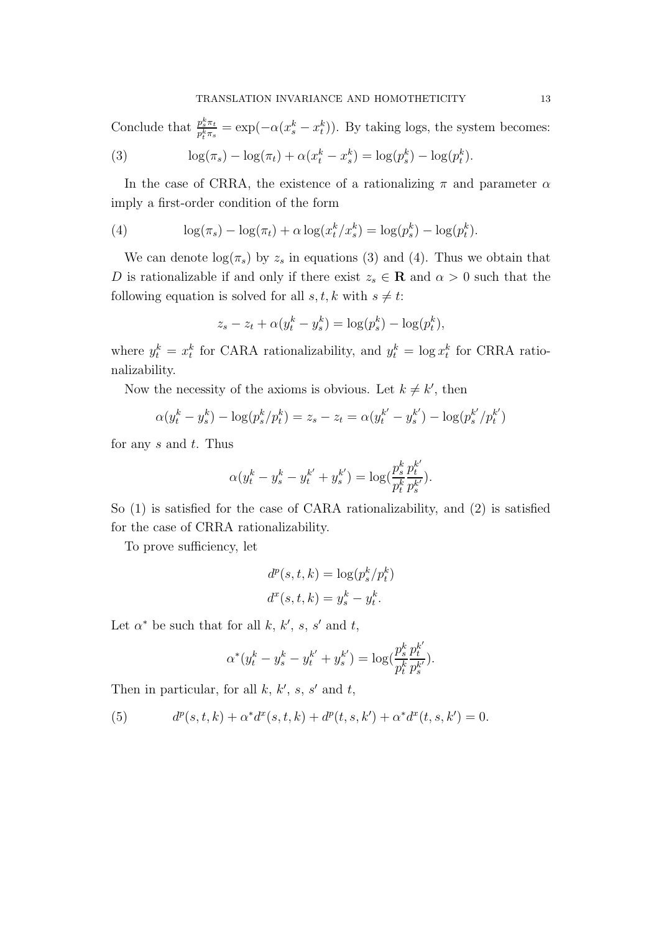Conclude that  $\frac{p_s^k \pi_t}{n^k \pi^k}$  $\frac{p_s^s \pi_t}{p_t^k \pi_s} = \exp(-\alpha (x_s^k - x_t^k)).$  By taking logs, the system becomes:

(3) 
$$
\log(\pi_s) - \log(\pi_t) + \alpha(x_t^k - x_s^k) = \log(p_s^k) - \log(p_t^k).
$$

In the case of CRRA, the existence of a rationalizing  $\pi$  and parameter  $\alpha$ imply a first-order condition of the form

(4) 
$$
\log(\pi_s) - \log(\pi_t) + \alpha \log(x_t^k/x_s^k) = \log(p_s^k) - \log(p_t^k).
$$

We can denote  $\log(\pi_s)$  by  $z_s$  in equations (3) and (4). Thus we obtain that D is rationalizable if and only if there exist  $z_s \in \mathbf{R}$  and  $\alpha > 0$  such that the following equation is solved for all  $s, t, k$  with  $s \neq t$ :

$$
z_s - z_t + \alpha (y_t^k - y_s^k) = \log(p_s^k) - \log(p_t^k),
$$

where  $y_t^k = x_t^k$  for CARA rationalizability, and  $y_t^k = \log x_t^k$  for CRRA rationalizability.

Now the necessity of the axioms is obvious. Let  $k \neq k'$ , then

$$
\alpha(y_t^k - y_s^k) - \log(p_s^k/p_t^k) = z_s - z_t = \alpha(y_t^{k'} - y_s^{k'}) - \log(p_s^{k'}/p_t^{k'})
$$

for any s and t. Thus

$$
\alpha(y_t^k - y_s^k - y_t^{k'} + y_s^{k'}) = \log(\frac{p_s^k}{p_t^k} \frac{p_t^{k'}}{p_s^{k'}}).
$$

So (1) is satisfied for the case of CARA rationalizability, and (2) is satisfied for the case of CRRA rationalizability.

To prove sufficiency, let

$$
d^{p}(s, t, k) = \log(p_s^k/p_t^k)
$$

$$
d^{x}(s, t, k) = y_s^k - y_t^k.
$$

Let  $\alpha^*$  be such that for all k, k', s, s' and t,

$$
\alpha^*(y_t^k - y_s^k - y_t^{k'} + y_s^{k'}) = \log(\frac{p_s^k}{p_t^k} \frac{p_t^{k'}}{p_s^{k'}}).
$$

Then in particular, for all  $k, k', s, s'$  and  $t$ ,

(5) 
$$
d^{p}(s,t,k) + \alpha^{*} d^{x}(s,t,k) + d^{p}(t,s,k') + \alpha^{*} d^{x}(t,s,k') = 0.
$$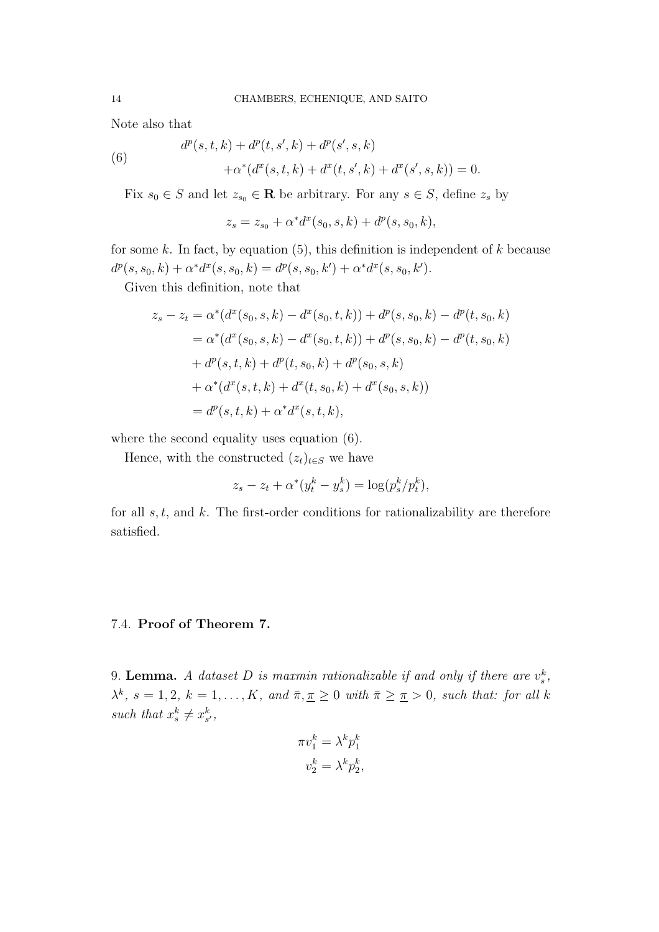Note also that

(6) 
$$
d^{p}(s,t,k) + d^{p}(t,s',k) + d^{p}(s',s,k) + \alpha^{*}(d^{x}(s,t,k) + d^{x}(t,s',k) + d^{x}(s',s,k)) = 0.
$$

Fix  $s_0 \in S$  and let  $z_{s_0} \in \mathbb{R}$  be arbitrary. For any  $s \in S$ , define  $z_s$  by

 $z_s = z_{s0} + \alpha^* d^x(s_0, s, k) + d^p(s, s_0, k),$ 

for some k. In fact, by equation  $(5)$ , this definition is independent of k because  $d^p(s, s_0, k) + \alpha^* d^x(s, s_0, k) = d^p(s, s_0, k') + \alpha^* d^x(s, s_0, k').$ 

Given this definition, note that

$$
z_s - z_t = \alpha^*(d^x(s_0, s, k) - d^x(s_0, t, k)) + d^p(s, s_0, k) - d^p(t, s_0, k)
$$
  
=  $\alpha^*(d^x(s_0, s, k) - d^x(s_0, t, k)) + d^p(s, s_0, k) - d^p(t, s_0, k)$   
+  $d^p(s, t, k) + d^p(t, s_0, k) + d^p(s_0, s, k)$   
+  $\alpha^*(d^x(s, t, k) + d^x(t, s_0, k) + d^x(s_0, s, k))$   
=  $d^p(s, t, k) + \alpha^*d^x(s, t, k),$ 

where the second equality uses equation  $(6)$ .

Hence, with the constructed  $(z_t)_{t\in S}$  we have

$$
z_s - z_t + \alpha^*(y_t^k - y_s^k) = \log(p_s^k/p_t^k),
$$

for all  $s, t$ , and  $k$ . The first-order conditions for rationalizability are therefore satisfied.

## 7.4. Proof of Theorem 7.

9. **Lemma.** A dataset D is maxmin rationalizable if and only if there are  $v_s^k$ ,  $\lambda^k$ ,  $s = 1, 2, k = 1, \ldots, K$ , and  $\overline{\pi}, \overline{\pi} \geq 0$  with  $\overline{\pi} \geq \overline{\pi} > 0$ , such that: for all k such that  $x_s^k \neq x_{s'}^k$ ,

$$
\pi v_1^k = \lambda^k p_1^k
$$

$$
v_2^k = \lambda^k p_2^k,
$$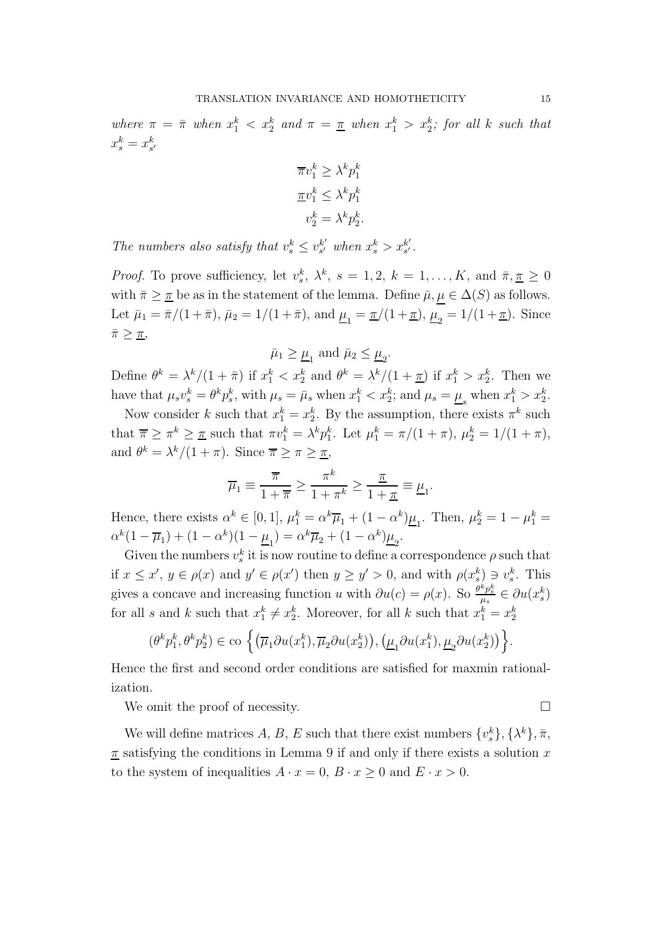where  $\pi = \bar{\pi}$  when  $x_1^k < x_2^k$  and  $\pi = \underline{\pi}$  when  $x_1^k > x_2^k$ ; for all k such that  $x_s^k = x_{s'}^k$ 

$$
\overline{\pi}v_1^k \ge \lambda^k p_1^k
$$

$$
\underline{\pi}v_1^k \le \lambda^k p_1^k
$$

$$
v_2^k = \lambda^k p_2^k.
$$

The numbers also satisfy that  $v_s^k \leq v_{s'}^{k'}$  $s'$  when  $x_s^k > x_{s'}^{k'}$ s ′ *.*

*Proof.* To prove sufficiency, let  $v_s^k$ ,  $\lambda^k$ ,  $s = 1, 2$ ,  $k = 1, ..., K$ , and  $\bar{\pi}, \underline{\pi} \geq 0$ with  $\bar{\pi} \geq \bar{\pi}$  be as in the statement of the lemma. Define  $\bar{\mu}, \mu \in \Delta(S)$  as follows. Let  $\bar{\mu}_1 = \bar{\pi}/(1+\bar{\pi}), \bar{\mu}_2 = 1/(1+\bar{\pi}), \text{ and } \underline{\mu}_1 = \underline{\pi}/(1+\underline{\pi}), \underline{\mu}_2 = 1/(1+\underline{\pi}).$  Since  $\bar{\pi} \geq \underline{\pi}$ 

 $\bar{\mu}_1 \geq \underline{\mu}_1$  and  $\bar{\mu}_2 \leq \underline{\mu}_2$ .

Define  $\theta^k = \lambda^k/(1+\bar{\pi})$  if  $x_1^k < x_2^k$  and  $\theta^k = \lambda^k/(1+\underline{\pi})$  if  $x_1^k > x_2^k$ . Then we have that  $\mu_s v_s^k = \theta^k p_s^k$ , with  $\mu_s = \bar{\mu}_s$  when  $x_1^k < x_2^k$ ; and  $\mu_s = \underline{\mu}_s$  when  $x_1^k > x_2^k$ .

Now consider k such that  $x_1^k = x_2^k$ . By the assumption, there exists  $\pi^k$  such that  $\overline{\pi} \geq \pi^k \geq \underline{\pi}$  such that  $\pi v_1^k = \lambda^k p_1^k$ . Let  $\mu_1^k = \pi/(1+\pi)$ ,  $\mu_2^k = 1/(1+\pi)$ , and  $\theta^k = \lambda^k/(1+\pi)$ . Since  $\overline{\pi} \geq \pi \geq \overline{\pi}$ ,

$$
\overline{\mu}_1 \equiv \frac{\overline{\pi}}{1 + \overline{\pi}} \ge \frac{\pi^k}{1 + \pi^k} \ge \frac{\underline{\pi}}{1 + \underline{\pi}} \equiv \underline{\mu}_1.
$$

Hence, there exists  $\alpha^k \in [0,1]$ ,  $\mu_1^k = \alpha^k \overline{\mu}_1 + (1 - \alpha^k) \underline{\mu}_1$ . Then,  $\mu_2^k = 1 - \mu_1^k =$  $\alpha^{k}(1-\overline{\mu}_{1}) + (1-\alpha^{k})(1-\underline{\mu}_{1}) = \alpha^{k}\overline{\mu}_{2} + (1-\alpha^{k})\underline{\mu}_{2}.$ 

Given the numbers  $v_s^k$  it is now routine to define a correspondence  $\rho$  such that if  $x \leq x'$ ,  $y \in \rho(x)$  and  $y' \in \rho(x')$  then  $y \geq y' > 0$ , and with  $\rho(x_s^k) \ni v_s^k$ . This gives a concave and increasing function u with  $\partial u(c) = \rho(x)$ . So  $\frac{\partial^k p_s^k}{\mu_s} \in \partial u(x_s^k)$ for all s and k such that  $x_1^k \neq x_2^k$ . Moreover, for all k such that  $x_1^k = x_2^k$ 

$$
(\theta^k p_1^k, \theta^k p_2^k) \in \text{co}\left\{ \left(\overline{\mu}_1 \partial u(x_1^k), \overline{\mu}_2 \partial u(x_2^k)\right), \left(\underline{\mu}_1 \partial u(x_1^k), \underline{\mu}_2 \partial u(x_2^k)\right) \right\}.
$$

Hence the first and second order conditions are satisfied for maxmin rationalization.

We omit the proof of necessity.

We will define matrices  $A, B, E$  such that there exist numbers  $\{v_s^k\}, \{\lambda^k\}, \bar{\pi},$  $\pi$  satisfying the conditions in Lemma 9 if and only if there exists a solution x to the system of inequalities  $A \cdot x = 0$ ,  $B \cdot x \ge 0$  and  $E \cdot x > 0$ .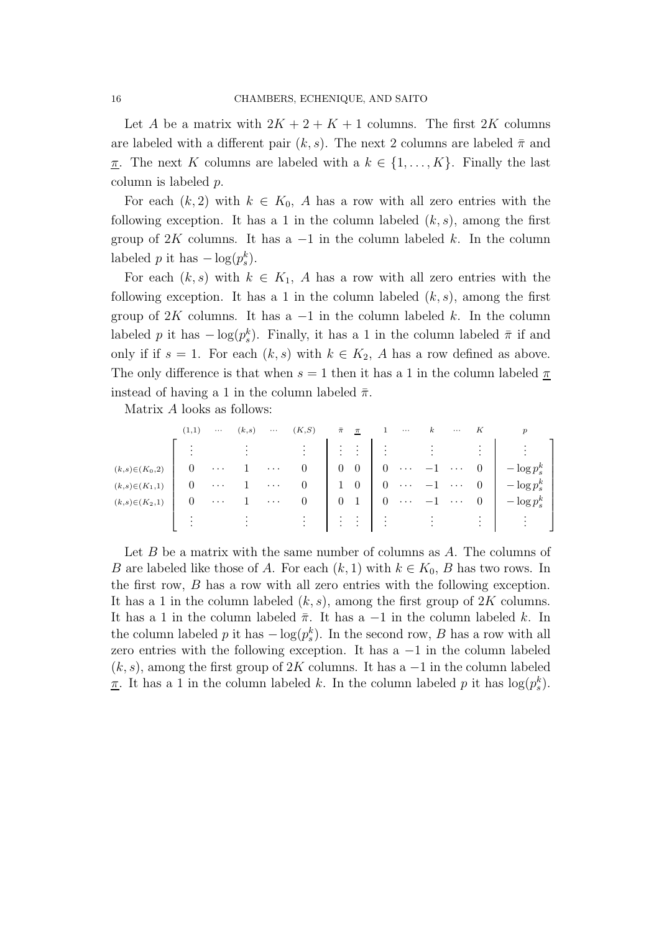Let A be a matrix with  $2K + 2 + K + 1$  columns. The first 2K columns are labeled with a different pair  $(k, s)$ . The next 2 columns are labeled  $\bar{\pi}$  and <u>π</u>. The next K columns are labeled with a  $k \in \{1, ..., K\}$ . Finally the last column is labeled p.

For each  $(k, 2)$  with  $k \in K_0$ , A has a row with all zero entries with the following exception. It has a 1 in the column labeled  $(k, s)$ , among the first group of 2K columns. It has a  $-1$  in the column labeled k. In the column labeled p it has  $-\log(p_s^k)$ .

For each  $(k, s)$  with  $k \in K_1$ , A has a row with all zero entries with the following exception. It has a 1 in the column labeled  $(k, s)$ , among the first group of 2K columns. It has a  $-1$  in the column labeled k. In the column labeled p it has  $-\log(p_s^k)$ . Finally, it has a 1 in the column labeled  $\bar{\pi}$  if and only if if  $s = 1$ . For each  $(k, s)$  with  $k \in K_2$ , A has a row defined as above. The only difference is that when  $s = 1$  then it has a 1 in the column labeled  $\pi$ instead of having a 1 in the column labeled  $\bar{\pi}$ .

Matrix A looks as follows:

|                     | (1,1)  | $\cdots$             | (k,s)                  | $\cdots$ | (K, S)                                                        | $\bar{\pi}$    | $\pi$                       |                | $\cdots$                   | $\kappa$   | $\cdots$ |                                        |                        |  |
|---------------------|--------|----------------------|------------------------|----------|---------------------------------------------------------------|----------------|-----------------------------|----------------|----------------------------|------------|----------|----------------------------------------|------------------------|--|
|                     |        |                      | $\bullet$              |          | <b>Service</b>                                                |                | $\mathbb{Z}^n$ .            | $\mathbb{R}^2$ |                            | $\sim 3\%$ |          |                                        | $\bullet$              |  |
| $(k,s) \in (K_0,2)$ |        | $\cdots$             |                        | $\cdots$ | $\theta$                                                      | $\mathbf{0}$   | $\boldsymbol{0}$            |                | $\cdots$                   |            | $\cdots$ |                                        | $-\log p_s^k$          |  |
| $(k,s) \in (K_1,1)$ |        | $\cdots$             |                        | $\cdots$ |                                                               | $\perp$        | $\overline{0}$              |                | $\cdots$                   |            |          |                                        | $-\log p_s^k$          |  |
| $(k,s) \in (K_2,1)$ | $\cup$ | $\sim$ $\sim$ $\sim$ |                        | $\cdots$ | $\theta$                                                      | $\theta$       | $\mathbf{1}$                |                | $\cdots$                   |            | $\cdots$ |                                        | $-\log p_s^k$          |  |
|                     |        |                      | $\bullet$<br>$\bullet$ |          | ٠<br>$\bullet$ . The set of $\bullet$<br>$\ddot{\phantom{a}}$ | ٠<br>$\bullet$ | $\mathbb{Z}^n$ .<br>$\cdot$ | $\bullet$      | $\mathcal{I}(\mathcal{A})$ | $\sim 100$ |          | $\sim 10^{-10}$ m $^{-1}$<br>$\bullet$ | $\bullet$ .<br>$\cdot$ |  |

Let  $B$  be a matrix with the same number of columns as  $A$ . The columns of B are labeled like those of A. For each  $(k, 1)$  with  $k \in K_0$ , B has two rows. In the first row, B has a row with all zero entries with the following exception. It has a 1 in the column labeled  $(k, s)$ , among the first group of 2K columns. It has a 1 in the column labeled  $\bar{\pi}$ . It has a -1 in the column labeled k. In the column labeled p it has  $-\log(p_s^k)$ . In the second row, B has a row with all zero entries with the following exception. It has  $a -1$  in the column labeled  $(k, s)$ , among the first group of 2K columns. It has a  $-1$  in the column labeled <u> $\pi$ </u>. It has a 1 in the column labeled k. In the column labeled p it has  $\log(p_s^k)$ .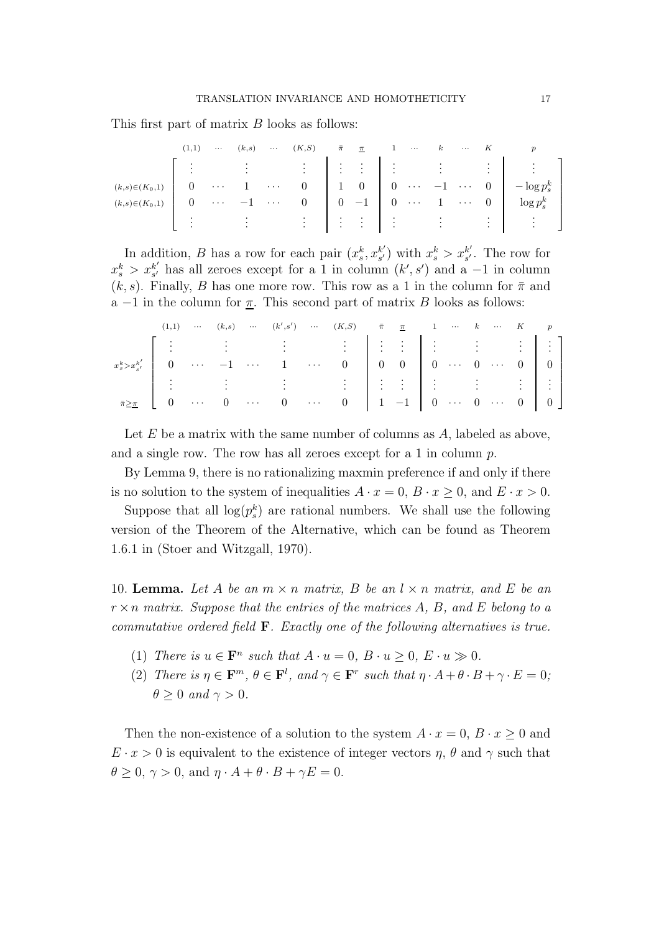This first part of matrix B looks as follows:

|                     | (1,1) | $\cdots$                | (k,s) | $\cdots$          | $(K, S)$ $\bar{\pi}$ $\underline{\pi}$                                            |                                                                                                                                                                                                                                                                                                                     | $\cdots$ |  |                                                                                                                                                                                                                                                                         |  |
|---------------------|-------|-------------------------|-------|-------------------|-----------------------------------------------------------------------------------|---------------------------------------------------------------------------------------------------------------------------------------------------------------------------------------------------------------------------------------------------------------------------------------------------------------------|----------|--|-------------------------------------------------------------------------------------------------------------------------------------------------------------------------------------------------------------------------------------------------------------------------|--|
|                     |       |                         |       |                   |                                                                                   |                                                                                                                                                                                                                                                                                                                     |          |  | $\begin{bmatrix} \vdots & \vdots & \vdots & \vdots \\ 0 & \cdots & 1 & \cdots & 0 \end{bmatrix} \begin{bmatrix} \vdots & \vdots & \vdots \\ 1 & 0 & 0 & \cdots & -1 & \cdots & 0 \end{bmatrix} \begin{bmatrix} \vdots & \vdots & \vdots \\ -\log p_s^k & \end{bmatrix}$ |  |
| $(k,s) \in (K_0,1)$ |       |                         |       |                   |                                                                                   |                                                                                                                                                                                                                                                                                                                     |          |  |                                                                                                                                                                                                                                                                         |  |
| $(k,s) \in (K_0,1)$ |       | $\sim 100$ km s $^{-1}$ |       | <b>Contractor</b> | $\begin{array}{ccc} 0 & \end{array}$                                              |                                                                                                                                                                                                                                                                                                                     |          |  | $0 \quad -1 \quad 0 \quad \cdots \quad 1 \quad \cdots \quad 0 \quad \log p_s^k$                                                                                                                                                                                         |  |
|                     |       |                         |       |                   | $\mathbf{F}^{\text{max}}$ , $\mathbf{F}^{\text{max}}$ , $\mathbf{F}^{\text{max}}$ | $\frac{1}{2}$ $\frac{1}{2}$ $\frac{1}{2}$ $\frac{1}{2}$ $\frac{1}{2}$ $\frac{1}{2}$ $\frac{1}{2}$ $\frac{1}{2}$ $\frac{1}{2}$ $\frac{1}{2}$ $\frac{1}{2}$ $\frac{1}{2}$ $\frac{1}{2}$ $\frac{1}{2}$ $\frac{1}{2}$ $\frac{1}{2}$ $\frac{1}{2}$ $\frac{1}{2}$ $\frac{1}{2}$ $\frac{1}{2}$ $\frac{1}{2}$ $\frac{1}{2}$ |          |  |                                                                                                                                                                                                                                                                         |  |

In addition, B has a row for each pair  $(x_s^k, x_{s'}^{k'})$  $s'$ ) with  $x_s^k > x_{s'}^{k'}$  $s'$ . The row for  $x_s^k > x_{s'}^{k'}$  $s'_{s'}$  has all zeroes except for a 1 in column  $(k', s')$  and a -1 in column  $(k, s)$ . Finally, B has one more row. This row as a 1 in the column for  $\bar{\pi}$  and a  $-1$  in the column for  $\underline{\pi}$ . This second part of matrix B looks as follows:

|  |  |  | $(1,1) \quad \cdots \quad (k,s) \quad \cdots \quad (k',s') \quad \cdots \quad (K,S) \qquad \bar{\pi} \quad \underline{\pi} \qquad 1 \quad \cdots \quad k \quad \cdots \quad K \qquad p$ |  |  |  |  |
|--|--|--|-----------------------------------------------------------------------------------------------------------------------------------------------------------------------------------------|--|--|--|--|
|  |  |  |                                                                                                                                                                                         |  |  |  |  |
|  |  |  |                                                                                                                                                                                         |  |  |  |  |
|  |  |  |                                                                                                                                                                                         |  |  |  |  |
|  |  |  |                                                                                                                                                                                         |  |  |  |  |

Let  $E$  be a matrix with the same number of columns as  $A$ , labeled as above, and a single row. The row has all zeroes except for a 1 in column p.

By Lemma 9, there is no rationalizing maxmin preference if and only if there is no solution to the system of inequalities  $A \cdot x = 0$ ,  $B \cdot x \ge 0$ , and  $E \cdot x > 0$ .

Suppose that all  $log(p_s^k)$  are rational numbers. We shall use the following version of the Theorem of the Alternative, which can be found as Theorem 1.6.1 in (Stoer and Witzgall, 1970).

10. **Lemma.** Let A be an  $m \times n$  matrix, B be an  $l \times n$  matrix, and E be an r ×n *matrix. Suppose that the entries of the matrices* A*,* B*, and* E *belong to a commutative ordered field* F*. Exactly one of the following alternatives is true.*

- (1) *There is*  $u \in \mathbf{F}^n$  *such that*  $A \cdot u = 0$ ,  $B \cdot u \ge 0$ ,  $E \cdot u \gg 0$ .
- (2) *There is*  $\eta \in \mathbf{F}^m$ ,  $\theta \in \mathbf{F}^l$ , and  $\gamma \in \mathbf{F}^r$  such that  $\eta \cdot A + \theta \cdot B + \gamma \cdot E = 0$ ;  $\theta \geq 0$  *and*  $\gamma > 0$ *.*

Then the non-existence of a solution to the system  $A \cdot x = 0$ ,  $B \cdot x \ge 0$  and  $E \cdot x > 0$  is equivalent to the existence of integer vectors  $\eta$ ,  $\theta$  and  $\gamma$  such that  $\theta \geq 0, \gamma > 0$ , and  $\eta \cdot A + \theta \cdot B + \gamma E = 0$ .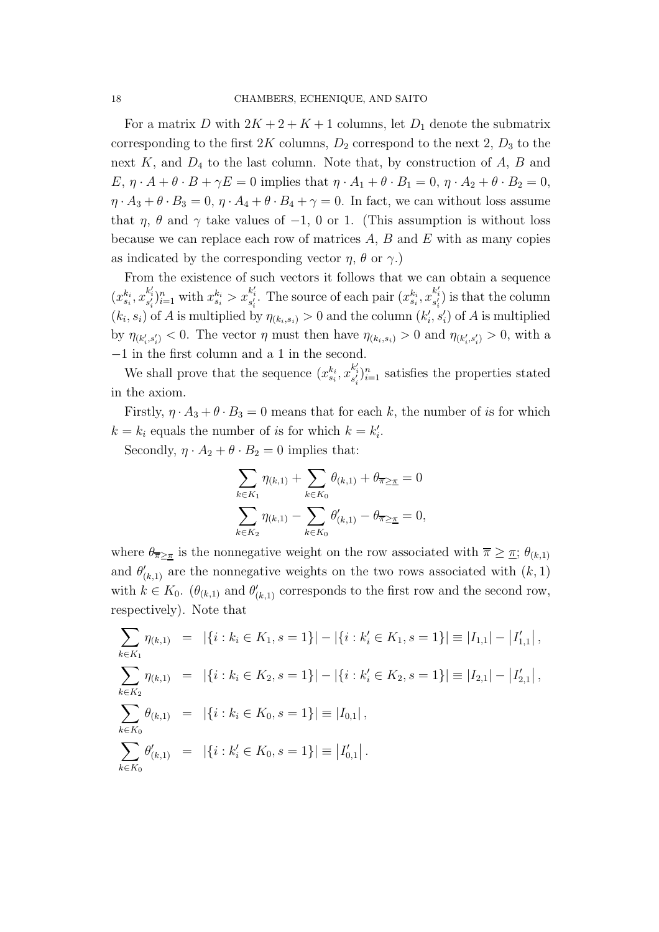For a matrix D with  $2K + 2 + K + 1$  columns, let  $D_1$  denote the submatrix corresponding to the first  $2K$  columns,  $D_2$  correspond to the next  $2, D_3$  to the next  $K$ , and  $D_4$  to the last column. Note that, by construction of  $A$ ,  $B$  and  $E, \eta \cdot A + \theta \cdot B + \gamma E = 0$  implies that  $\eta \cdot A_1 + \theta \cdot B_1 = 0$ ,  $\eta \cdot A_2 + \theta \cdot B_2 = 0$ ,  $\eta \cdot A_3 + \theta \cdot B_3 = 0$ ,  $\eta \cdot A_4 + \theta \cdot B_4 + \gamma = 0$ . In fact, we can without loss assume that  $\eta$ ,  $\theta$  and  $\gamma$  take values of -1, 0 or 1. (This assumption is without loss because we can replace each row of matrices  $A$ ,  $B$  and  $E$  with as many copies as indicated by the corresponding vector  $\eta$ ,  $\theta$  or  $\gamma$ .)

From the existence of such vectors it follows that we can obtain a sequence  $(x_{s_i}^{k_i}, x_{s'_i}^{k'_i})_{i=1}^n$  with  $x_{s_i}^{k_i} > x_{s'_i}^{k'_i}$ . The source of each pair  $(x_{s_i}^{k_i}, x_{s'_i}^{k'_i})$  is that the column  $(k_i, s_i)$  of A is multiplied by  $\eta_{(k_i, s_i)} > 0$  and the column  $(k'_i, s'_i)$  of A is multiplied by  $\eta_{(k'_i,s'_i)} < 0$ . The vector  $\eta$  must then have  $\eta_{(k_i,s_i)} > 0$  and  $\eta_{(k'_i,s'_i)} > 0$ , with a −1 in the first column and a 1 in the second.

We shall prove that the sequence  $(x_{s_i}^{k_i}, x_{s'_i}^{k'_i})_{i=1}^n$  satisfies the properties stated in the axiom.

Firstly,  $\eta \cdot A_3 + \theta \cdot B_3 = 0$  means that for each k, the number of is for which  $k = k_i$  equals the number of is for which  $k = k'_i$ .

Secondly,  $\eta \cdot A_2 + \theta \cdot B_2 = 0$  implies that:

$$
\sum_{k \in K_1} \eta_{(k,1)} + \sum_{k \in K_0} \theta_{(k,1)} + \theta_{\overline{\pi} \geq \underline{\pi}} = 0
$$
  

$$
\sum_{k \in K_2} \eta_{(k,1)} - \sum_{k \in K_0} \theta'_{(k,1)} - \theta_{\overline{\pi} \geq \underline{\pi}} = 0,
$$

where  $\theta_{\overline{n}\geq \pi}$  is the nonnegative weight on the row associated with  $\overline{n}\geq \pi$ ;  $\theta_{(k,1)}$ and  $\theta'_{(k,1)}$  are the nonnegative weights on the two rows associated with  $(k, 1)$ with  $k \in K_0$ .  $(\theta_{(k,1)}$  and  $\theta'_{(k,1)}$  corresponds to the first row and the second row, respectively). Note that

$$
\sum_{k \in K_1} \eta_{(k,1)} = |\{i : k_i \in K_1, s = 1\}| - |\{i : k'_i \in K_1, s = 1\}| \equiv |I_{1,1}| - |I'_{1,1}|,
$$
\n
$$
\sum_{k \in K_2} \eta_{(k,1)} = |\{i : k_i \in K_2, s = 1\}| - |\{i : k'_i \in K_2, s = 1\}| \equiv |I_{2,1}| - |I'_{2,1}|,
$$
\n
$$
\sum_{k \in K_0} \theta_{(k,1)} = |\{i : k_i \in K_0, s = 1\}| \equiv |I_{0,1}|,
$$
\n
$$
\sum_{k \in K_0} \theta'_{(k,1)} = |\{i : k'_i \in K_0, s = 1\}| \equiv |I'_{0,1}|.
$$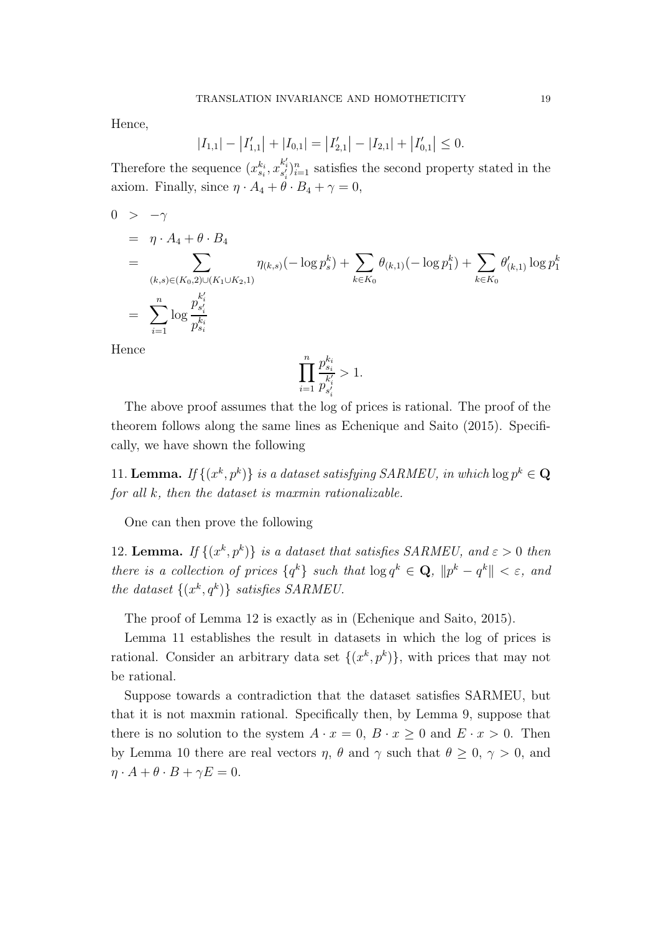Hence,

$$
|I_{1,1}| - |I'_{1,1}| + |I_{0,1}| = |I'_{2,1}| - |I_{2,1}| + |I'_{0,1}| \le 0.
$$

Therefore the sequence  $(x_{s_i}^{k_i}, x_{s'_i}^{k'_i})_{i=1}^n$  satisfies the second property stated in the axiom. Finally, since  $\eta \cdot A_4 + \theta \cdot B_4 + \gamma = 0$ ,

$$
0 > -\gamma
$$
  
\n
$$
= \eta \cdot A_4 + \theta \cdot B_4
$$
  
\n
$$
= \sum_{(k,s) \in (K_0,2) \cup (K_1 \cup K_2,1)} \eta_{(k,s)}(-\log p_s^k) + \sum_{k \in K_0} \theta_{(k,1)}(-\log p_1^k) + \sum_{k \in K_0} \theta'_{(k,1)} \log p_1^k
$$
  
\n
$$
= \sum_{i=1}^n \log \frac{p_{s'_i}^{k'_i}}{p_{s_i}^{k'_i}}
$$

Hence

$$
\prod_{i=1}^{n} \frac{p_{s_i}^{k_i}}{p_{s'_i}^{k'_i}} > 1.
$$

The above proof assumes that the log of prices is rational. The proof of the theorem follows along the same lines as Echenique and Saito (2015). Specifically, we have shown the following

11. **Lemma.** If  $\{(x^k, p^k)\}\$ is a dataset satisfying SARMEU, in which  $\log p^k \in \mathbf{Q}$ *for all* k*, then the dataset is maxmin rationalizable.*

One can then prove the following

12. **Lemma.** *If*  $\{(x^k, p^k)\}$  *is a dataset that satisfies SARMEU, and*  $\varepsilon > 0$  *then there is a collection of prices*  $\{q^k\}$  *such that*  $\log q^k \in \mathbf{Q}$ ,  $\|p^k - q^k\| < \varepsilon$ , and *the dataset*  $\{(x^k, q^k)\}$  *satisfies SARMEU.* 

The proof of Lemma 12 is exactly as in (Echenique and Saito, 2015).

Lemma 11 establishes the result in datasets in which the log of prices is rational. Consider an arbitrary data set  $\{(x^k, p^k)\}\$ , with prices that may not be rational.

Suppose towards a contradiction that the dataset satisfies SARMEU, but that it is not maxmin rational. Specifically then, by Lemma 9, suppose that there is no solution to the system  $A \cdot x = 0$ ,  $B \cdot x > 0$  and  $E \cdot x > 0$ . Then by Lemma 10 there are real vectors  $\eta$ ,  $\theta$  and  $\gamma$  such that  $\theta \geq 0$ ,  $\gamma > 0$ , and  $\eta \cdot A + \theta \cdot B + \gamma E = 0.$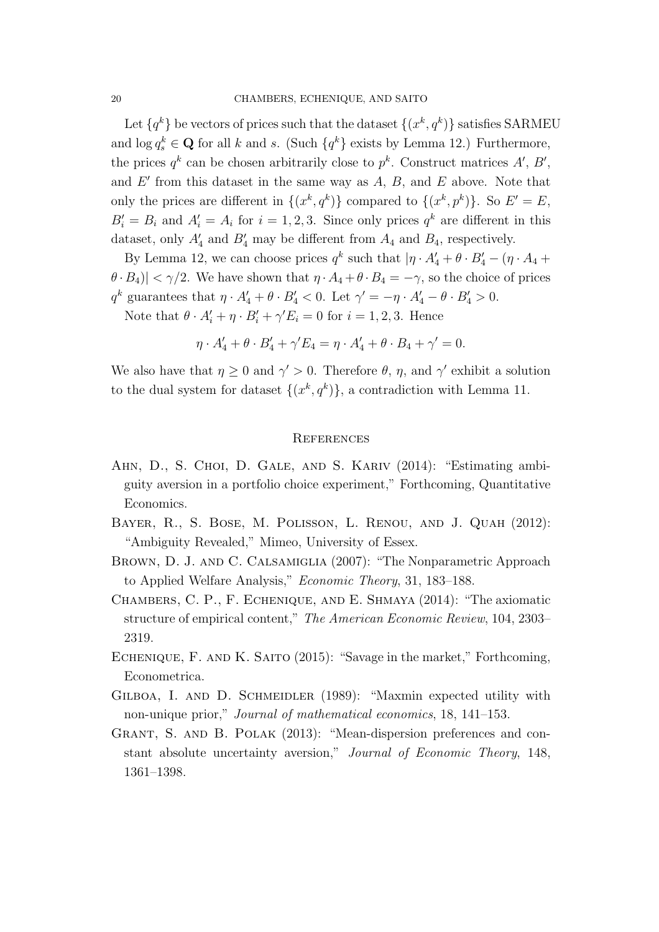Let  $\{q^k\}$  be vectors of prices such that the dataset  $\{(x^k, q^k)\}$  satisfies SARMEU and  $\log q_s^k \in \mathbf{Q}$  for all k and s. (Such  $\{q^k\}$  exists by Lemma 12.) Furthermore, the prices  $q^k$  can be chosen arbitrarily close to  $p^k$ . Construct matrices  $A', B',$ and  $E'$  from this dataset in the same way as  $A, B$ , and  $E$  above. Note that only the prices are different in  $\{(x^k, q^k)\}\)$  compared to  $\{(x^k, p^k)\}\$ . So  $E' = E$ ,  $B'_i = B_i$  and  $A'_i = A_i$  for  $i = 1, 2, 3$ . Since only prices  $q^k$  are different in this dataset, only  $A'_4$  and  $B'_4$  may be different from  $A_4$  and  $B_4$ , respectively.

By Lemma 12, we can choose prices  $q^k$  such that  $|\eta \cdot A'_4 + \theta \cdot B'_4 - (\eta \cdot A_4 + \theta \cdot B'_5)$  $|\theta \cdot B_4|$  <  $\gamma/2$ . We have shown that  $\eta \cdot A_4 + \theta \cdot B_4 = -\gamma$ , so the choice of prices  $q^k$  guarantees that  $\eta \cdot A'_4 + \theta \cdot B'_4 < 0$ . Let  $\gamma' = -\eta \cdot A'_4 - \theta \cdot B'_4 > 0$ .

Note that  $\theta \cdot A'_i + \eta \cdot B'_i + \gamma' E_i = 0$  for  $i = 1, 2, 3$ . Hence

$$
\eta \cdot A_4' + \theta \cdot B_4' + \gamma' E_4 = \eta \cdot A_4' + \theta \cdot B_4 + \gamma' = 0.
$$

We also have that  $\eta \geq 0$  and  $\gamma' > 0$ . Therefore  $\theta$ ,  $\eta$ , and  $\gamma'$  exhibit a solution to the dual system for dataset  $\{(x^k, q^k)\}\$ , a contradiction with Lemma 11.

#### **REFERENCES**

- AHN, D., S. CHOI, D. GALE, AND S. KARIV (2014): "Estimating ambiguity aversion in a portfolio choice experiment," Forthcoming, Quantitative Economics.
- Bayer, R., S. Bose, M. Polisson, L. Renou, and J. Quah (2012): "Ambiguity Revealed," Mimeo, University of Essex.
- Brown, D. J. and C. Calsamiglia (2007): "The Nonparametric Approach to Applied Welfare Analysis," *Economic Theory*, 31, 183–188.
- Chambers, C. P., F. Echenique, and E. Shmaya (2014): "The axiomatic structure of empirical content," *The American Economic Review*, 104, 2303– 2319.
- ECHENIQUE, F. AND K. SAITO (2015): "Savage in the market," Forthcoming, Econometrica.
- GILBOA, I. AND D. SCHMEIDLER (1989): "Maxmin expected utility with non-unique prior," *Journal of mathematical economics*, 18, 141–153.
- GRANT, S. AND B. POLAK (2013): "Mean-dispersion preferences and constant absolute uncertainty aversion," *Journal of Economic Theory*, 148, 1361–1398.